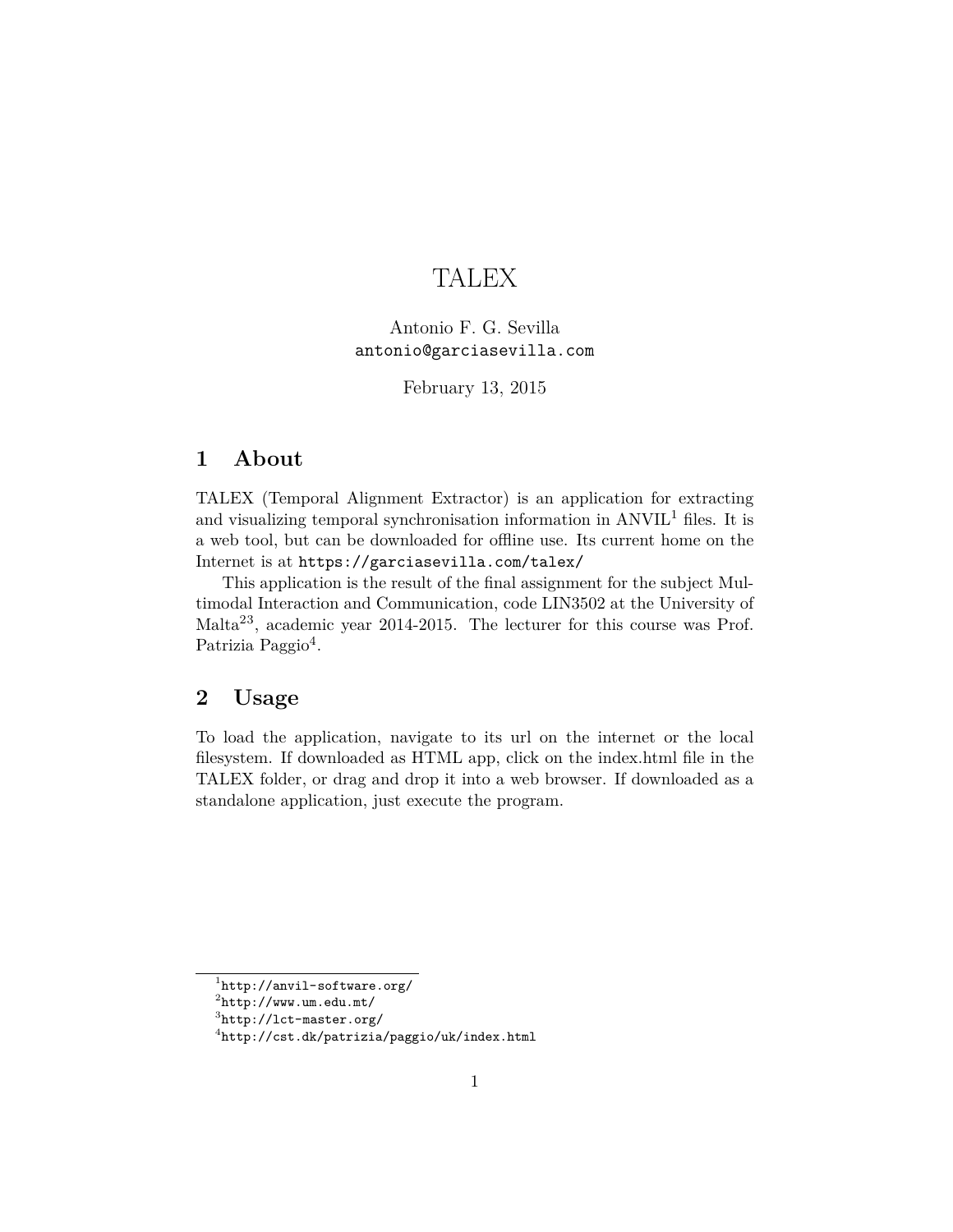# TALEX

Antonio F. G. Sevilla antonio@garciasevilla.com

February 13, 2015

## **1 About**

TALEX (Temporal Alignment Extractor) is an application for extracting and visualizing temporal synchronisation information in  $\text{ANVIL}^1$  $\text{ANVIL}^1$  files. It is a web tool, but can be downloaded for offline use. Its current home on the Internet is at <https://garciasevilla.com/talex/>

This application is the result of the final assignment for the subject Multimodal Interaction and Communication, code LIN3502 at the University of Malta[2](#page-0-1)[3](#page-0-2), academic year 2014-2015. The lecturer for this course was Prof. Patrizia Paggio<sup>[4](#page-0-3)</sup>.

## **2 Usage**

To load the application, navigate to its url on the internet or the local filesystem. If downloaded as HTML app, click on the index.html file in the TALEX folder, or drag and drop it into a web browser. If downloaded as a standalone application, just execute the program.

<span id="page-0-0"></span><sup>1</sup> <http://anvil-software.org/>

<span id="page-0-1"></span> $^{2}$ <http://www.um.edu.mt/>

<span id="page-0-2"></span> ${}^{3}$ <http://lct-master.org/>

<span id="page-0-3"></span><sup>4</sup> <http://cst.dk/patrizia/paggio/uk/index.html>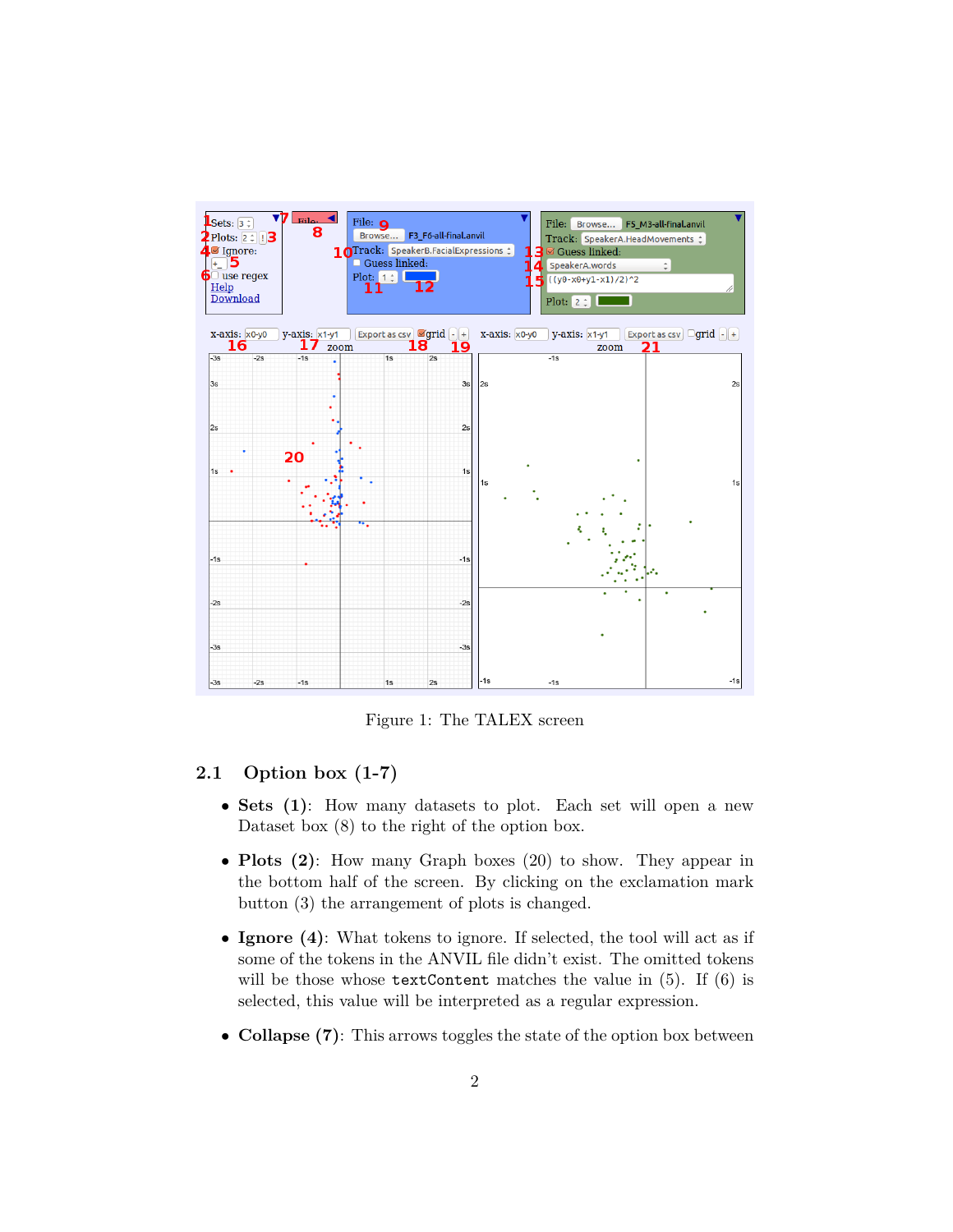

Figure 1: The TALEX screen

### **2.1 Option box (1-7)**

- **Sets (1)**: How many datasets to plot. Each set will open a new Dataset box (8) to the right of the option box.
- **Plots (2)**: How many Graph boxes (20) to show. They appear in the bottom half of the screen. By clicking on the exclamation mark button (3) the arrangement of plots is changed.
- **Ignore (4)**: What tokens to ignore. If selected, the tool will act as if some of the tokens in the ANVIL file didn't exist. The omitted tokens will be those whose  $texttextrm{Content matches the value in (5). If (6) is}$ selected, this value will be interpreted as a regular expression.
- **Collapse (7)**: This arrows toggles the state of the option box between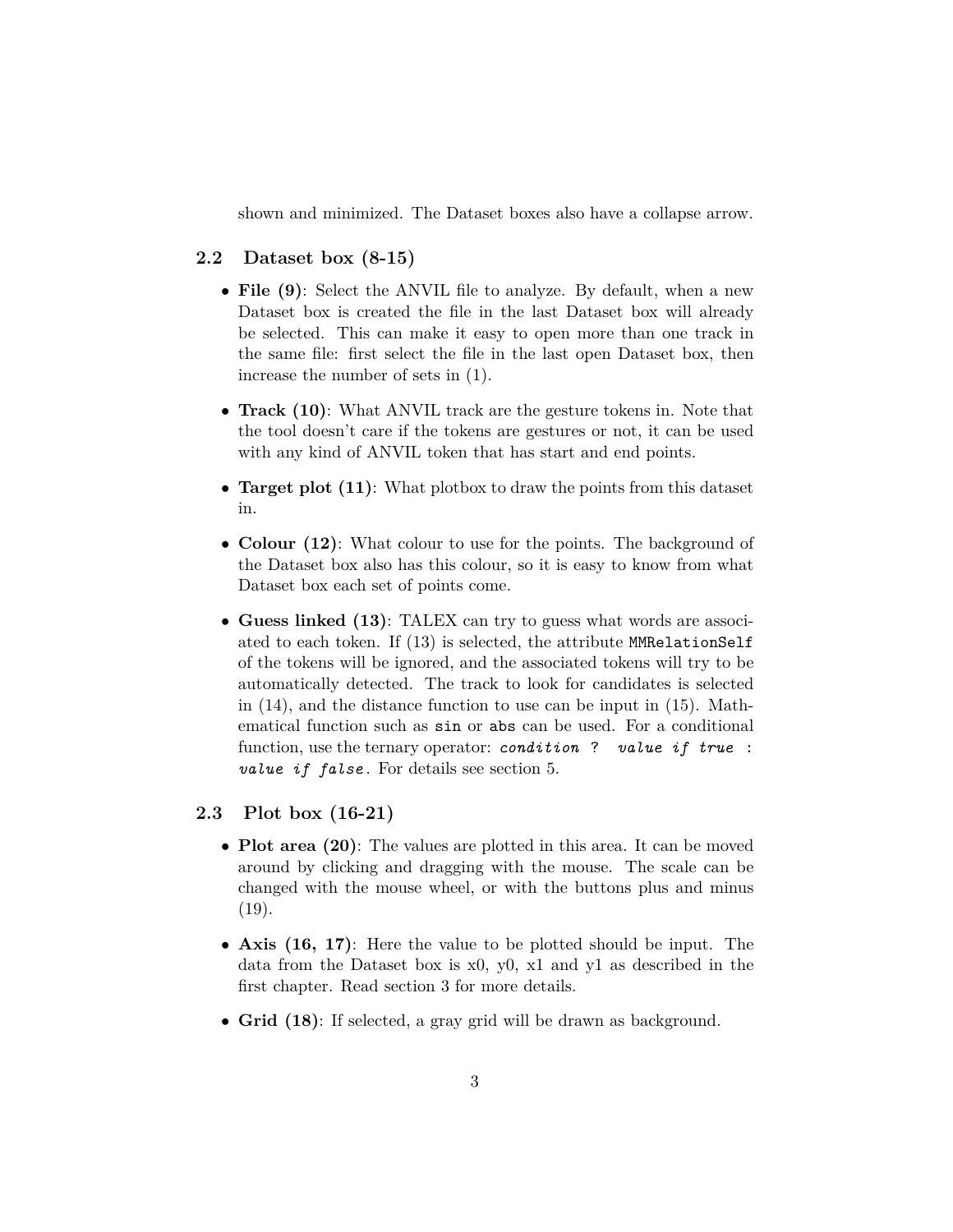shown and minimized. The Dataset boxes also have a collapse arrow.

#### **2.2 Dataset box (8-15)**

- **File (9)**: Select the ANVIL file to analyze. By default, when a new Dataset box is created the file in the last Dataset box will already be selected. This can make it easy to open more than one track in the same file: first select the file in the last open Dataset box, then increase the number of sets in (1).
- **Track (10)**: What ANVIL track are the gesture tokens in. Note that the tool doesn't care if the tokens are gestures or not, it can be used with any kind of ANVIL token that has start and end points.
- **Target plot (11)**: What plotbox to draw the points from this dataset in.
- **Colour (12)**: What colour to use for the points. The background of the Dataset box also has this colour, so it is easy to know from what Dataset box each set of points come.
- **Guess linked (13)**: TALEX can try to guess what words are associated to each token. If (13) is selected, the attribute MMRelationSelf of the tokens will be ignored, and the associated tokens will try to be automatically detected. The track to look for candidates is selected in (14), and the distance function to use can be input in (15). Mathematical function such as sin or abs can be used. For a conditional function, use the ternary operator: *condition* ? *value if true* : *value if false* . For details see section [5.](#page-6-0)

#### **2.3 Plot box (16-21)**

- **Plot area (20)**: The values are plotted in this area. It can be moved around by clicking and dragging with the mouse. The scale can be changed with the mouse wheel, or with the buttons plus and minus  $(19).$
- **Axis (16, 17)**: Here the value to be plotted should be input. The data from the Dataset box is x0, y0, x1 and y1 as described in the first chapter. Read section [3](#page-4-0) for more details.
- **Grid (18)**: If selected, a gray grid will be drawn as background.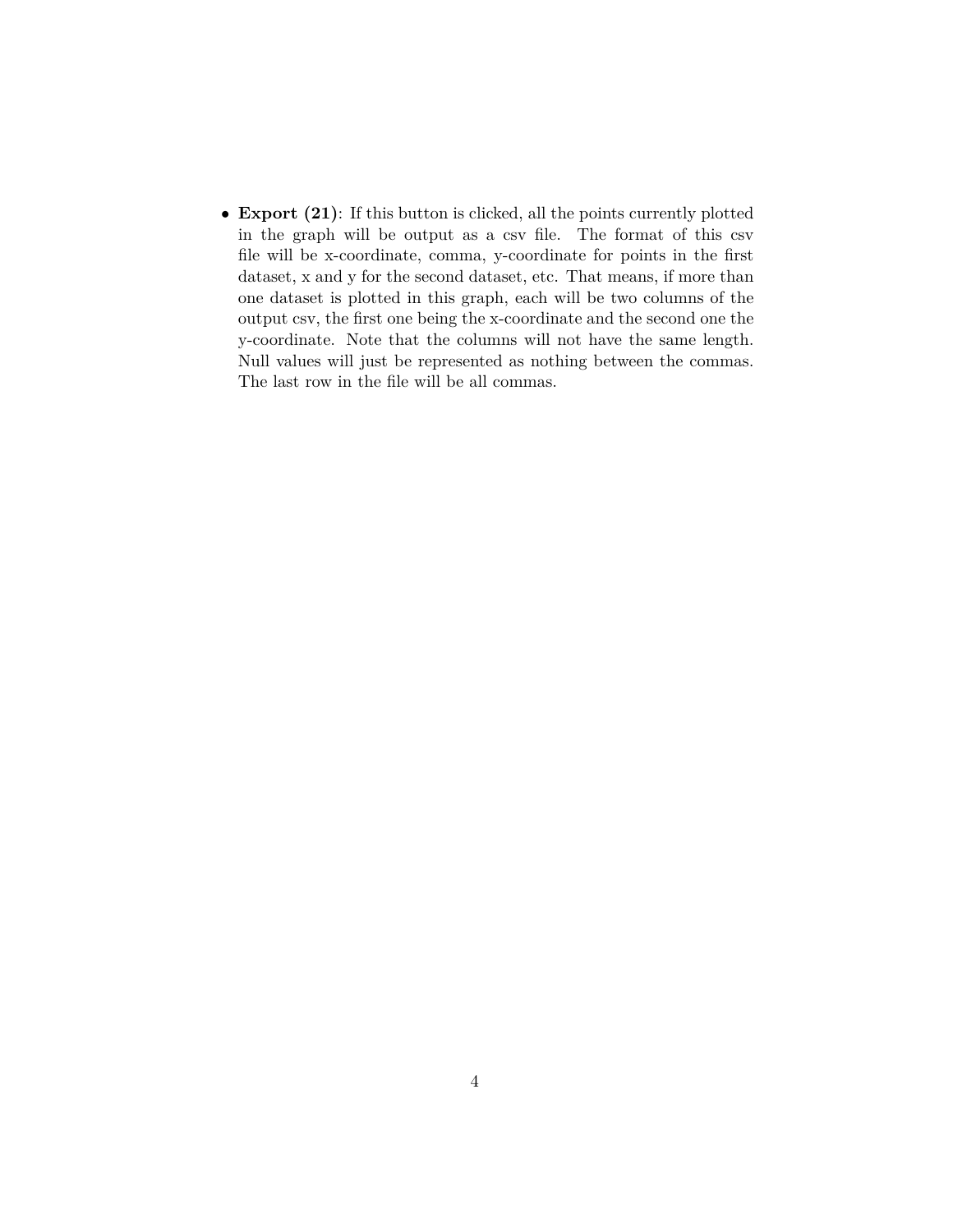• **Export (21)**: If this button is clicked, all the points currently plotted in the graph will be output as a csv file. The format of this csv file will be x-coordinate, comma, y-coordinate for points in the first dataset, x and y for the second dataset, etc. That means, if more than one dataset is plotted in this graph, each will be two columns of the output csv, the first one being the x-coordinate and the second one the y-coordinate. Note that the columns will not have the same length. Null values will just be represented as nothing between the commas. The last row in the file will be all commas.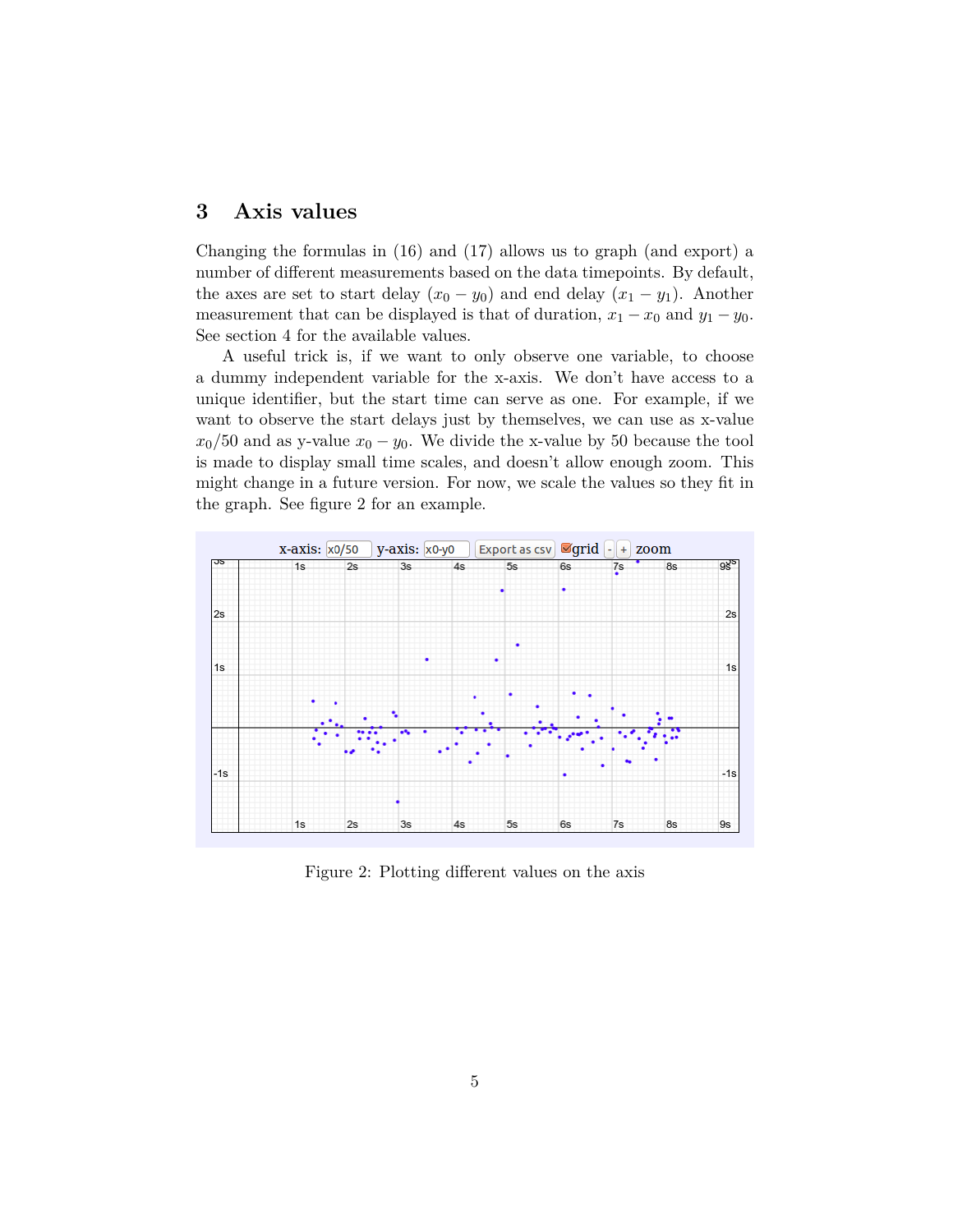## <span id="page-4-0"></span>**3 Axis values**

Changing the formulas in (16) and (17) allows us to graph (and export) a number of different measurements based on the data timepoints. By default, the axes are set to start delay  $(x_0 - y_0)$  and end delay  $(x_1 - y_1)$ . Another measurement that can be displayed is that of duration,  $x_1 - x_0$  and  $y_1 - y_0$ . See section [4](#page-5-0) for the available values.

A useful trick is, if we want to only observe one variable, to choose a dummy independent variable for the x-axis. We don't have access to a unique identifier, but the start time can serve as one. For example, if we want to observe the start delays just by themselves, we can use as x-value  $x_0/50$  and as y-value  $x_0 - y_0$ . We divide the x-value by 50 because the tool is made to display small time scales, and doesn't allow enough zoom. This might change in a future version. For now, we scale the values so they fit in the graph. See figure [2](#page-4-1) for an example.

<span id="page-4-1"></span>

Figure 2: Plotting different values on the axis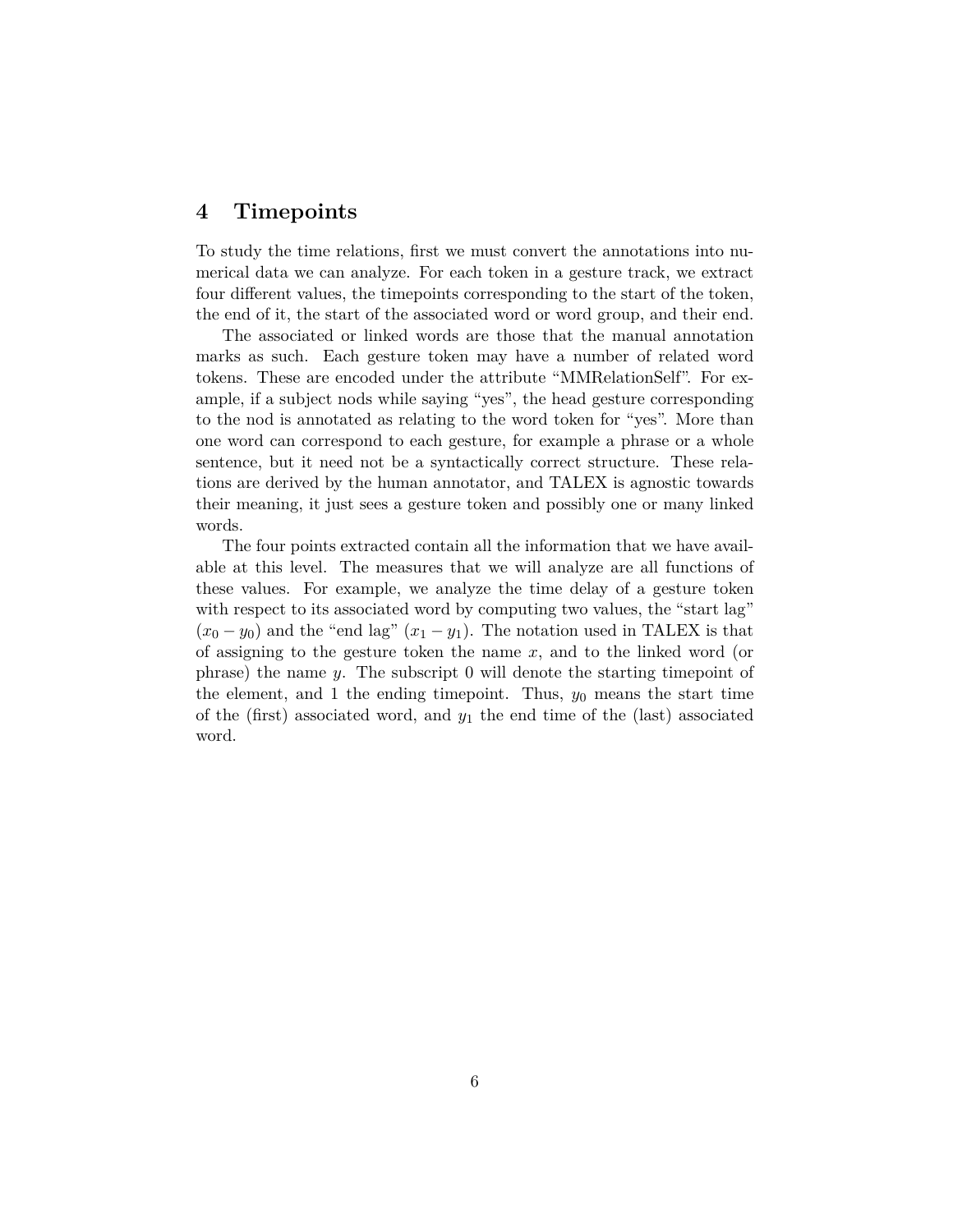## <span id="page-5-0"></span>**4 Timepoints**

To study the time relations, first we must convert the annotations into numerical data we can analyze. For each token in a gesture track, we extract four different values, the timepoints corresponding to the start of the token, the end of it, the start of the associated word or word group, and their end.

The associated or linked words are those that the manual annotation marks as such. Each gesture token may have a number of related word tokens. These are encoded under the attribute "MMRelationSelf". For example, if a subject nods while saying "yes", the head gesture corresponding to the nod is annotated as relating to the word token for "yes". More than one word can correspond to each gesture, for example a phrase or a whole sentence, but it need not be a syntactically correct structure. These relations are derived by the human annotator, and TALEX is agnostic towards their meaning, it just sees a gesture token and possibly one or many linked words.

The four points extracted contain all the information that we have available at this level. The measures that we will analyze are all functions of these values. For example, we analyze the time delay of a gesture token with respect to its associated word by computing two values, the "start lag"  $(x_0 - y_0)$  and the "end lag"  $(x_1 - y_1)$ . The notation used in TALEX is that of assigning to the gesture token the name *x*, and to the linked word (or phrase) the name *y*. The subscript 0 will denote the starting timepoint of the element, and 1 the ending time point. Thus,  $y_0$  means the start time of the (first) associated word, and *y*<sup>1</sup> the end time of the (last) associated word.